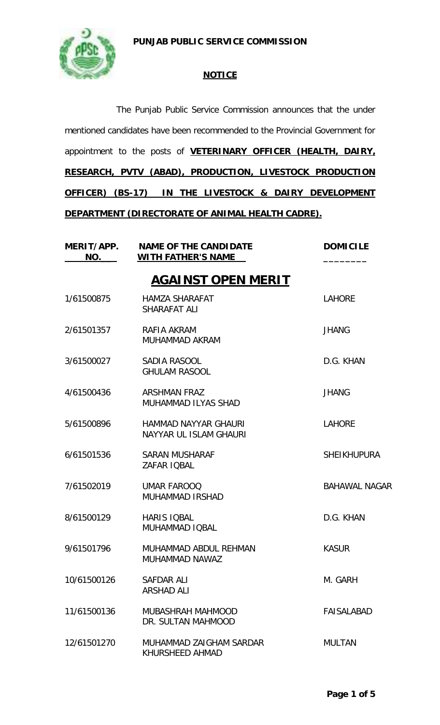## **PUNJAB PUBLIC SERVICE COMMISSION**



## **NOTICE**

The Punjab Public Service Commission announces that the under mentioned candidates have been recommended to the Provincial Government for appointment to the posts of **VETERINARY OFFICER (HEALTH, DAIRY, RESEARCH, PVTV (ABAD), PRODUCTION, LIVESTOCK PRODUCTION OFFICER) (BS-17) IN THE LIVESTOCK & DAIRY DEVELOPMENT DEPARTMENT (DIRECTORATE OF ANIMAL HEALTH CADRE).**

| MERIT/APP.<br>NO. | <b>NAME OF THE CANDIDATE</b><br><b>WITH FATHER'S NAME</b> | <b>DOMICILE</b>      |
|-------------------|-----------------------------------------------------------|----------------------|
|                   | <b>AGAINST OPEN MERIT</b>                                 |                      |
| 1/61500875        | <b>HAMZA SHARAFAT</b><br>SHARAFAT ALI                     | <b>LAHORE</b>        |
| 2/61501357        | RAFIA AKRAM<br><b>MUHAMMAD AKRAM</b>                      | <b>JHANG</b>         |
| 3/61500027        | SADIA RASOOL<br><b>GHULAM RASOOL</b>                      | D.G. KHAN            |
| 4/61500436        | <b>ARSHMAN FRAZ</b><br>MUHAMMAD ILYAS SHAD                | <b>JHANG</b>         |
| 5/61500896        | HAMMAD NAYYAR GHAURI<br>NAYYAR UL ISLAM GHAURI            | <b>LAHORE</b>        |
| 6/61501536        | <b>SARAN MUSHARAF</b><br>ZAFAR IQBAL                      | SHEIKHUPURA          |
| 7/61502019        | <b>UMAR FAROOQ</b><br>MUHAMMAD IRSHAD                     | <b>BAHAWAL NAGAR</b> |
| 8/61500129        | <b>HARIS IQBAL</b><br><b>MUHAMMAD IQBAL</b>               | D.G. KHAN            |
| 9/61501796        | MUHAMMAD ABDUL REHMAN<br>MUHAMMAD NAWAZ                   | <b>KASUR</b>         |
| 10/61500126       | SAFDAR ALI<br><b>ARSHAD ALI</b>                           | M. GARH              |
| 11/61500136       | MUBASHRAH MAHMOOD<br>DR. SULTAN MAHMOOD                   | <b>FAISALABAD</b>    |
| 12/61501270       | MUHAMMAD ZAIGHAM SARDAR<br>KHURSHEED AHMAD                | <b>MULTAN</b>        |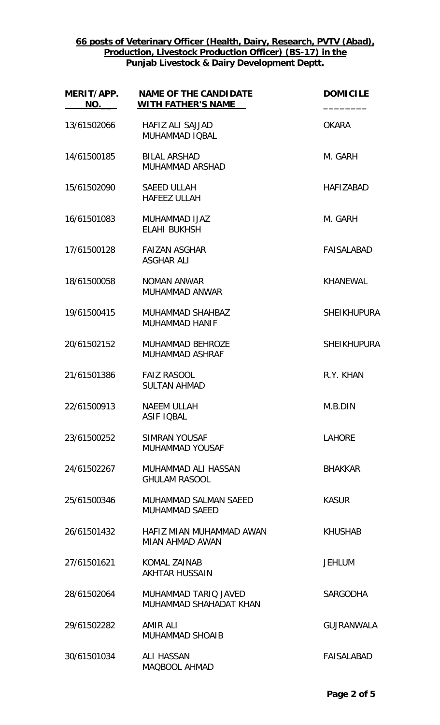| MERIT/APP.<br>NO. | <b>NAME OF THE CANDIDATE</b><br><b>WITH FATHER'S NAME</b> | <b>DOMICILE</b>    |
|-------------------|-----------------------------------------------------------|--------------------|
| 13/61502066       | <b>HAFIZ ALI SAJJAD</b><br>MUHAMMAD IQBAL                 | <b>OKARA</b>       |
| 14/61500185       | <b>BILAL ARSHAD</b><br>MUHAMMAD ARSHAD                    | M. GARH            |
| 15/61502090       | <b>SAEED ULLAH</b><br><b>HAFEEZ ULLAH</b>                 | <b>HAFIZABAD</b>   |
| 16/61501083       | MUHAMMAD IJAZ<br><b>ELAHI BUKHSH</b>                      | M. GARH            |
| 17/61500128       | <b>FAIZAN ASGHAR</b><br><b>ASGHAR ALI</b>                 | FAISALABAD         |
| 18/61500058       | NOMAN ANWAR<br>MUHAMMAD ANWAR                             | KHANEWAL           |
| 19/61500415       | <b>MUHAMMAD SHAHBAZ</b><br><b>MUHAMMAD HANIF</b>          | <b>SHEIKHUPURA</b> |
| 20/61502152       | MUHAMMAD BEHROZE<br>MUHAMMAD ASHRAF                       | <b>SHEIKHUPURA</b> |
| 21/61501386       | <b>FAIZ RASOOL</b><br><b>SULTAN AHMAD</b>                 | R.Y. KHAN          |
| 22/61500913       | <b>NAEEM ULLAH</b><br><b>ASIF IQBAL</b>                   | M.B.DIN            |
| 23/61500252       | SIMRAN YOUSAF<br><b>MUHAMMAD YOUSAF</b>                   | <b>LAHORE</b>      |
| 24/61502267       | MUHAMMAD ALI HASSAN<br><b>GHULAM RASOOL</b>               | <b>BHAKKAR</b>     |
| 25/61500346       | MUHAMMAD SALMAN SAEED<br><b>MUHAMMAD SAEED</b>            | <b>KASUR</b>       |
| 26/61501432       | HAFIZ MIAN MUHAMMAD AWAN<br>MIAN AHMAD AWAN               | <b>KHUSHAB</b>     |
| 27/61501621       | <b>KOMAL ZAINAB</b><br><b>AKHTAR HUSSAIN</b>              | <b>JEHLUM</b>      |
| 28/61502064       | MUHAMMAD TARIQ JAVED<br>MUHAMMAD SHAHADAT KHAN            | <b>SARGODHA</b>    |
| 29/61502282       | AMIR ALI<br><b>MUHAMMAD SHOAIB</b>                        | <b>GUJRANWALA</b>  |
| 30/61501034       | ALI HASSAN<br>MAQBOOL AHMAD                               | <b>FAISALABAD</b>  |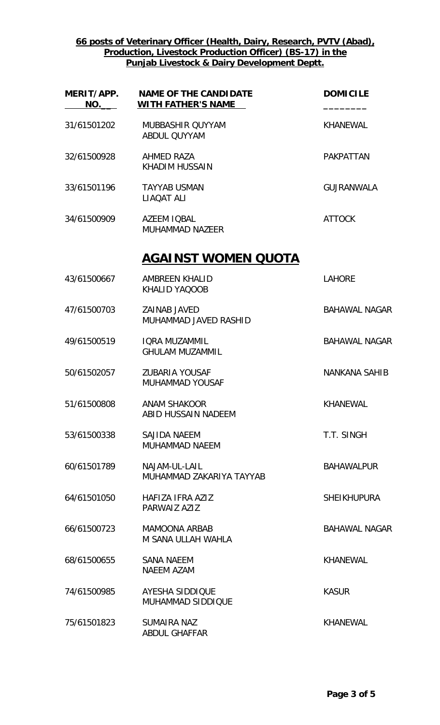| MERIT/APP.<br>NO. | <b>NAME OF THE CANDIDATE</b><br><b>WITH FATHER'S NAME</b> | <b>DOMICILE</b>      |
|-------------------|-----------------------------------------------------------|----------------------|
| 31/61501202       | MUBBASHIR QUYYAM<br><b>ABDUL QUYYAM</b>                   | <b>KHANEWAL</b>      |
| 32/61500928       | AHMED RAZA<br><b>KHADIM HUSSAIN</b>                       | <b>PAKPATTAN</b>     |
| 33/61501196       | <b>TAYYAB USMAN</b><br>LIAQAT ALI                         | <b>GUJRANWALA</b>    |
| 34/61500909       | <b>AZEEM IOBAL</b><br><b>MUHAMMAD NAZEER</b>              | <b>ATTOCK</b>        |
|                   | <u>AGAINST WOMEN QUOTA</u>                                |                      |
| 43/61500667       | AMBREEN KHALID<br>KHALID YAQOOB                           | <b>LAHORE</b>        |
| 47/61500703       | <b>ZAINAB JAVED</b><br>MUHAMMAD JAVED RASHID              | <b>BAHAWAL NAGAR</b> |
| 49/61500519       | <b>IQRA MUZAMMIL</b><br><b>GHULAM MUZAMMIL</b>            | <b>BAHAWAL NAGAR</b> |
| 50/61502057       | <b>ZUBARIA YOUSAF</b><br><b>MUHAMMAD YOUSAF</b>           | <b>NANKANA SAHIB</b> |
| 51/61500808       | <b>ANAM SHAKOOR</b><br><b>ABID HUSSAIN NADEEM</b>         | <b>KHANEWAL</b>      |
| 53/61500338       | SAJIDA NAEEM<br><b>MUHAMMAD NAEEM</b>                     | T.T. SINGH           |
| 60/61501789       | NAJAM-UL-LAIL<br>MUHAMMAD ZAKARIYA TAYYAB                 | <b>BAHAWALPUR</b>    |
| 64/61501050       | HAFIZA IFRA AZIZ<br>PARWAIZ AZIZ                          | <b>SHEIKHUPURA</b>   |
| 66/61500723       | <b>MAMOONA ARBAB</b><br>M SANA ULLAH WAHLA                | <b>BAHAWAL NAGAR</b> |
| 68/61500655       | <b>SANA NAEEM</b><br><b>NAEEM AZAM</b>                    | <b>KHANEWAL</b>      |
| 74/61500985       | <b>AYESHA SIDDIQUE</b><br><b>MUHAMMAD SIDDIQUE</b>        | <b>KASUR</b>         |
| 75/61501823       | <b>SUMAIRA NAZ</b><br><b>ABDUL GHAFFAR</b>                | <b>KHANEWAL</b>      |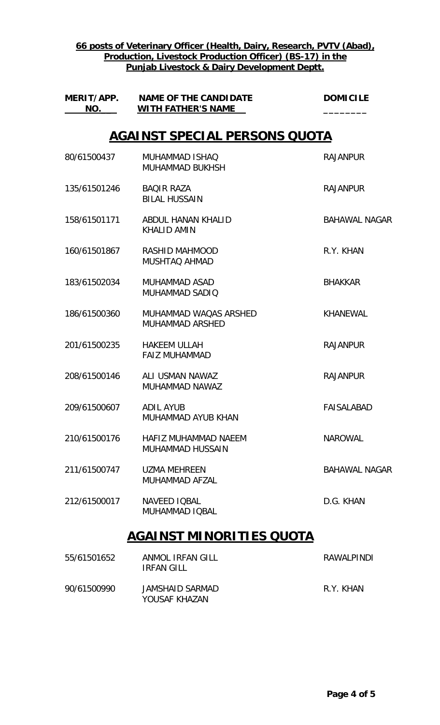| NO.          | MERIT/APP. NAME OF THE CANDIDATE<br><b>WITH FATHER'S NAME</b> | <b>DOMICILE</b>      |
|--------------|---------------------------------------------------------------|----------------------|
|              | <b>AGAINST SPECIAL PERSONS QUOTA</b>                          |                      |
| 80/61500437  | MUHAMMAD ISHAQ<br><b>MUHAMMAD BUKHSH</b>                      | <b>RAJANPUR</b>      |
| 135/61501246 | <b>BAQIR RAZA</b><br><b>BILAL HUSSAIN</b>                     | <b>RAJANPUR</b>      |
| 158/61501171 | ABDUL HANAN KHALID<br><b>KHALID AMIN</b>                      | <b>BAHAWAL NAGAR</b> |
| 160/61501867 | RASHID MAHMOOD<br><b>MUSHTAQ AHMAD</b>                        | R.Y. KHAN            |
| 183/61502034 | <b>MUHAMMAD ASAD</b><br>MUHAMMAD SADIO                        | <b>BHAKKAR</b>       |
| 186/61500360 | MUHAMMAD WAQAS ARSHED<br><b>MUHAMMAD ARSHED</b>               | <b>KHANEWAL</b>      |
| 201/61500235 | <b>HAKEEM ULLAH</b><br><b>FAIZ MUHAMMAD</b>                   | <b>RAJANPUR</b>      |
| 208/61500146 | ALI USMAN NAWAZ<br>MUHAMMAD NAWAZ                             | <b>RAJANPUR</b>      |
| 209/61500607 | ADIL AYUB<br>MUHAMMAD AYUB KHAN                               | <b>FAISALABAD</b>    |
| 210/61500176 | HAFIZ MUHAMMAD NAEEM<br><b>MUHAMMAD HUSSAIN</b>               | <b>NAROWAL</b>       |
| 211/61500747 | <b>UZMA MEHREEN</b><br>MUHAMMAD AFZAL                         | <b>BAHAWAL NAGAR</b> |
| 212/61500017 | <b>NAVEED IOBAL</b><br>MUHAMMAD IQBAL                         | D.G. KHAN            |
|              | <u>AGAINST MINORITIES QUOTA</u>                               |                      |
| 55/61501652  | ANMOL IRFAN GILL                                              | <b>RAWALPINDI</b>    |

90/61500990 JAMSHAID SARMAD R.Y. KHAN YOUSAF KHAZAN

IRFAN GILL